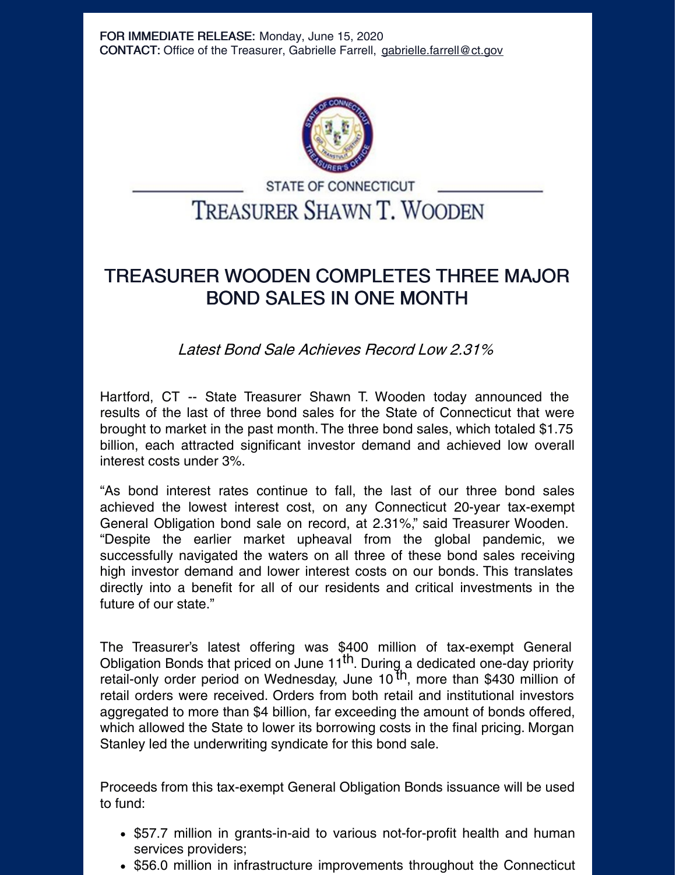

## **STATE OF CONNECTICUT TREASURER SHAWN T. WOODEN**

## TREASURER WOODEN COMPLETES THREE MAJOR BOND SALES IN ONE MONTH

Latest Bond Sale Achieves Record Low 2.31%

Hartford, CT -- State Treasurer Shawn T. Wooden today announced the results of the last of three bond sales for the State of Connecticut that were brought to market in the past month. The three bond sales, which totaled \$1.75 billion, each attracted significant investor demand and achieved low overall interest costs under 3%.

"As bond interest rates continue to fall, the last of our three bond sales achieved the lowest interest cost, on any Connecticut 20-year tax-exempt General Obligation bond sale on record, at 2.31%," said Treasurer Wooden. "Despite the earlier market upheaval from the global pandemic, we successfully navigated the waters on all three of these bond sales receiving high investor demand and lower interest costs on our bonds. This translates directly into a benefit for all of our residents and critical investments in the future of our state."

The Treasurer's latest offering was \$400 million of tax-exempt General Obligation Bonds that priced on June 11<sup>th</sup>. During a dedicated one-day priority retail-only order period on Wednesday, June 10<sup>th</sup>, more than \$430 million of retail orders were received. Orders from both retail and institutional investors aggregated to more than \$4 billion, far exceeding the amount of bonds offered, which allowed the State to lower its borrowing costs in the final pricing. Morgan Stanley led the underwriting syndicate for this bond sale.

Proceeds from this tax-exempt General Obligation Bonds issuance will be used to fund:

- \$57.7 million in grants-in-aid to various not-for-profit health and human services providers;
- \$56.0 million in infrastructure improvements throughout the Connecticut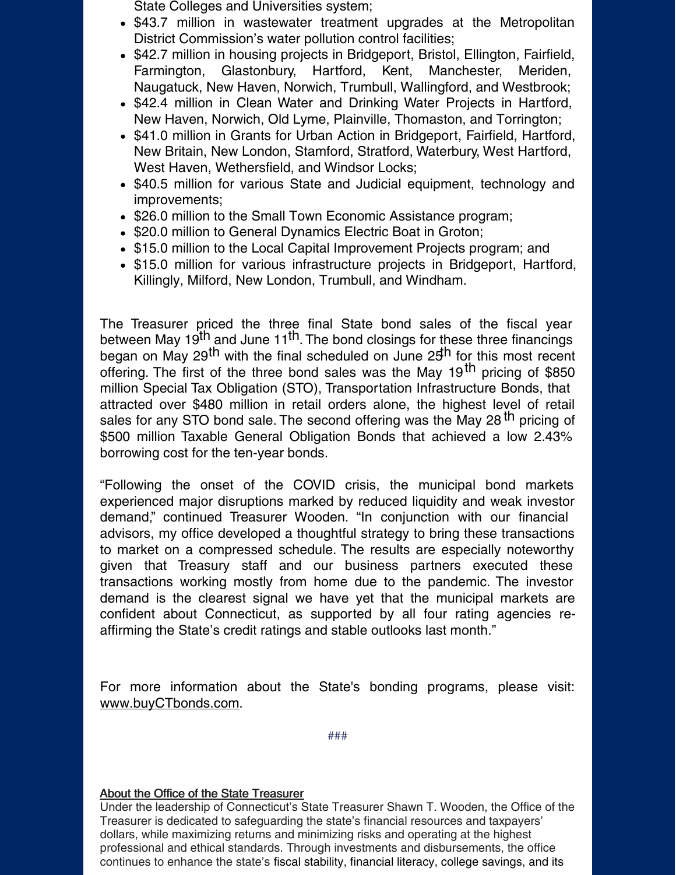- State Colleges and Universities system;
- \$43.7 million in wastewater treatment upgrades at the Metropolitan District Commission's water pollution control facilities;
- \$42.7 million in housing projects in Bridgeport, Bristol, Ellington, Fairfield, Farmington, Glastonbury, Hartford, Kent, Manchester, Meriden, Naugatuck, New Haven, Norwich, Trumbull, Wallingford, and Westbrook;
- \$42.4 million in Clean Water and Drinking Water Projects in Hartford, New Haven, Norwich, Old Lyme, Plainville, Thomaston, and Torrington;
- \$41.0 million in Grants for Urban Action in Bridgeport, Fairfield, Hartford, New Britain, New London, Stamford, Stratford, Waterbury, West Hartford, West Haven, Wethersfield, and Windsor Locks;
- \$40.5 million for various State and Judicial equipment, technology and improvements;
- \$26.0 million to the Small Town Economic Assistance program;
- \$20.0 million to General Dynamics Electric Boat in Groton;
- \$15.0 million to the Local Capital Improvement Projects program; and
- \$15.0 million for various infrastructure projects in Bridgeport, Hartford, Killingly, Milford, New London, Trumbull, and Windham.

The Treasurer priced the three final State bond sales of the fiscal year between May 19<sup>th</sup> and June 11<sup>th</sup>. The bond closings for these three financings began on May 29<sup>th</sup> with the final scheduled on June 25<sup>th</sup> for this most recent offering. The first of the three bond sales was the May 19<sup>th</sup> pricing of \$850 million Special Tax Obligation (STO), Transportation Infrastructure Bonds, that attracted over \$480 million in retail orders alone, the highest level of retail sales for any STO bond sale. The second offering was the May 28<sup>th</sup> pricing of \$500 million Taxable General Obligation Bonds that achieved a low 2.43% borrowing cost for the ten-year bonds.

"Following the onset of the COVID crisis, the municipal bond markets experienced major disruptions marked by reduced liquidity and weak investor demand," continued Treasurer Wooden. "In conjunction with our financial advisors, my office developed a thoughtful strategy to bring these transactions to market on a compressed schedule. The results are especially noteworthy given that Treasury staff and our business partners executed these transactions working mostly from home due to the pandemic. The investor demand is the clearest signal we have yet that the municipal markets are confident about Connecticut, as supported by all four rating agencies reaffirming the State's credit ratings and stable outlooks last month."

For more information about the State's bonding programs, please visit: [www.buyCTbonds.com](http://www.buyctbonds.com/).

###

## About the Office of the State Treasurer

Under the leadership of Connecticut's State Treasurer Shawn T. Wooden, the Office of the Treasurer is dedicated to safeguarding the state's financial resources and taxpayers' dollars, while maximizing returns and minimizing risks and operating at the highest professional and ethical standards. Through investments and disbursements, the office continues to enhance the state's fiscal stability, financial literacy, college savings, and its